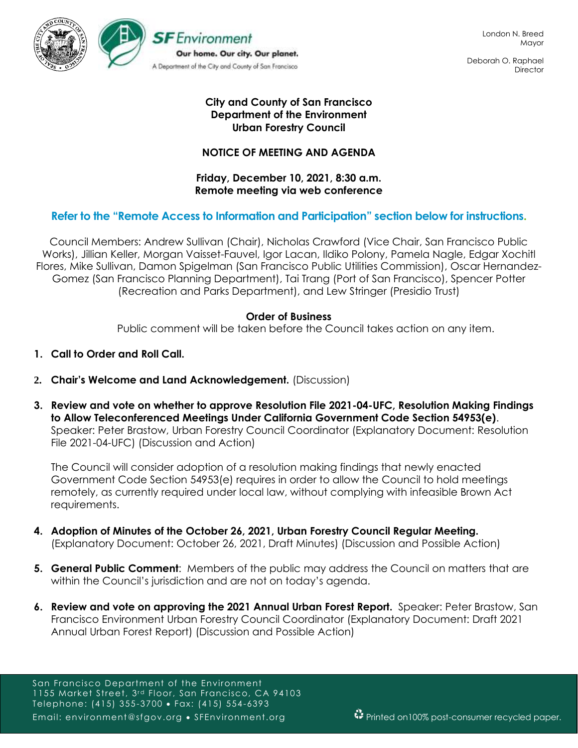

Deborah O. Raphael **Director** 

## **City and County of San Francisco Department of the Environment Urban Forestry Council**

## **NOTICE OF MEETING AND AGENDA**

**Friday, December 10, 2021, 8:30 a.m. Remote meeting via web conference**

## **Refer to the "Remote Access to Information and Participation" section below for instructions.**

Council Members: Andrew Sullivan (Chair), Nicholas Crawford (Vice Chair, San Francisco Public Works), Jillian Keller, Morgan Vaisset-Fauvel, Igor Lacan, Ildiko Polony, Pamela Nagle, Edgar Xochitl Flores, Mike Sullivan, Damon Spigelman (San Francisco Public Utilities Commission), Oscar Hernandez-Gomez (San Francisco Planning Department), Tai Trang (Port of San Francisco), Spencer Potter (Recreation and Parks Department), and Lew Stringer (Presidio Trust)

## **Order of Business**

Public comment will be taken before the Council takes action on any item.

- **1. Call to Order and Roll Call.**
- **2. Chair's Welcome and Land Acknowledgement.** (Discussion)
- **3. Review and vote on whether to approve Resolution File 2021-04-UFC, Resolution Making Findings to Allow Teleconferenced Meetings Under California Government Code Section 54953(e)**. Speaker: Peter Brastow, Urban Forestry Council Coordinator (Explanatory Document: Resolution File 2021-04-UFC) (Discussion and Action)

The Council will consider adoption of a resolution making findings that newly enacted Government Code Section 54953(e) requires in order to allow the Council to hold meetings remotely, as currently required under local law, without complying with infeasible Brown Act requirements.

- **4. Adoption of Minutes of the October 26, 2021, Urban Forestry Council Regular Meeting.**  (Explanatory Document: October 26, 2021, Draft Minutes) (Discussion and Possible Action)
- **5. General Public Comment**: Members of the public may address the Council on matters that are within the Council's jurisdiction and are not on today's agenda.
- **6. Review and vote on approving the 2021 Annual Urban Forest Report.** Speaker: Peter Brastow, San Francisco Environment Urban Forestry Council Coordinator (Explanatory Document: Draft 2021 Annual Urban Forest Report) (Discussion and Possible Action)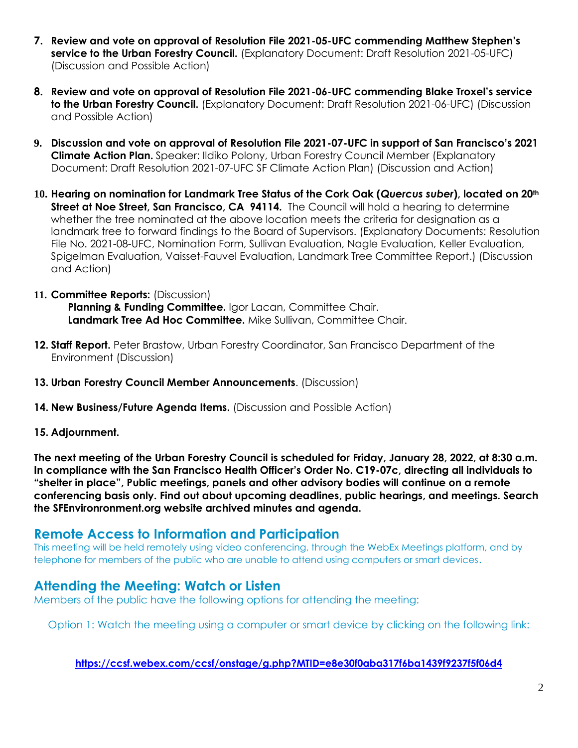- **7. Review and vote on approval of Resolution File 2021-05-UFC commending Matthew Stephen's service to the Urban Forestry Council.** (Explanatory Document: Draft Resolution 2021-05-UFC) (Discussion and Possible Action)
- **8. Review and vote on approval of Resolution File 2021-06-UFC commending Blake Troxel's service to the Urban Forestry Council.** (Explanatory Document: Draft Resolution 2021-06-UFC) (Discussion and Possible Action)
- **9. Discussion and vote on approval of Resolution File 2021-07-UFC in support of San Francisco's 2021 Climate Action Plan.** Speaker: Ildiko Polony, Urban Forestry Council Member (Explanatory Document: Draft Resolution 2021-07-UFC SF Climate Action Plan) (Discussion and Action)
- **10. Hearing on nomination for Landmark Tree Status of the Cork Oak (***Quercus suber***), located on 20th Street at Noe Street, San Francisco, CA 94114.** The Council will hold a hearing to determine whether the tree nominated at the above location meets the criteria for designation as a landmark tree to forward findings to the Board of Supervisors. (Explanatory Documents: Resolution File No. 2021-08-UFC, Nomination Form, Sullivan Evaluation, Nagle Evaluation, Keller Evaluation, Spigelman Evaluation, Vaisset-Fauvel Evaluation, Landmark Tree Committee Report.) (Discussion and Action)
- **11. Committee Reports:** (Discussion) **Planning & Funding Committee.** Igor Lacan, Committee Chair. **Landmark Tree Ad Hoc Committee.** Mike Sullivan, Committee Chair.
- **12. Staff Report.** Peter Brastow, Urban Forestry Coordinator, San Francisco Department of the Environment (Discussion)
- **13. Urban Forestry Council Member Announcements**. (Discussion)
- **14. New Business/Future Agenda Items.** (Discussion and Possible Action)
- **15. Adjournment.**

**The next meeting of the Urban Forestry Council is scheduled for Friday, January 28, 2022, at 8:30 a.m. In compliance with the San Francisco Health Officer's Order No. C19-07c, directing all individuals to "shelter in place", Public meetings, panels and other advisory bodies will continue on a remote conferencing basis only. Find out about upcoming deadlines, public hearings, and meetings. Search the SFEnvironronment.org website archived minutes and agenda.**

## **Remote Access to Information and Participation**

This meeting will be held remotely using video conferencing, through the WebEx Meetings platform, and by telephone for members of the public who are unable to attend using computers or smart devices.

# **Attending the Meeting: Watch or Listen**

Members of the public have the following options for attending the meeting:

Option 1: Watch the meeting using a computer or smart device by clicking on the following link:

**<https://ccsf.webex.com/ccsf/onstage/g.php?MTID=e8e30f0aba317f6ba1439f9237f5f06d4>**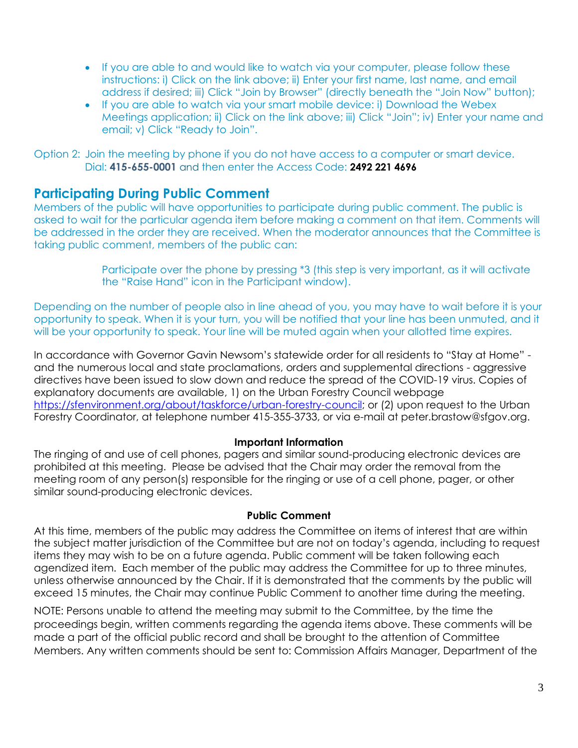- If you are able to and would like to watch via your computer, please follow these instructions: i) Click on the link above; ii) Enter your first name, last name, and email address if desired; iii) Click "Join by Browser" (directly beneath the "Join Now" button);
- If you are able to watch via your smart mobile device: i) Download the Webex Meetings application; ii) Click on the link above; iii) Click "Join"; iv) Enter your name and email; v) Click "Ready to Join".

Option 2: Join the meeting by phone if you do not have access to a computer or smart device. Dial: **415-655-0001** and then enter the Access Code: **2492 221 4696**

# **Participating During Public Comment**

Members of the public will have opportunities to participate during public comment. The public is asked to wait for the particular agenda item before making a comment on that item. Comments will be addressed in the order they are received. When the moderator announces that the Committee is taking public comment, members of the public can:

> Participate over the phone by pressing \*3 (this step is very important, as it will activate the "Raise Hand" icon in the Participant window).

Depending on the number of people also in line ahead of you, you may have to wait before it is your opportunity to speak. When it is your turn, you will be notified that your line has been unmuted, and it will be your opportunity to speak. Your line will be muted again when your allotted time expires.

In accordance with Governor Gavin Newsom's statewide order for all residents to "Stay at Home" and the numerous local and state proclamations, orders and supplemental directions - aggressive directives have been issued to slow down and reduce the spread of the COVID-19 virus. Copies of explanatory documents are available, 1) on the Urban Forestry Council webpage [https://sfenvironment.org/about/taskforce/urban-forestry-council;](https://sfenvironment.org/about/taskforce/urban-forestry-council) or (2) upon request to the Urban Forestry Coordinator, at telephone number 415-355-3733, or via e-mail at peter.brastow@sfgov.org.

## **Important Information**

The ringing of and use of cell phones, pagers and similar sound-producing electronic devices are prohibited at this meeting. Please be advised that the Chair may order the removal from the meeting room of any person(s) responsible for the ringing or use of a cell phone, pager, or other similar sound-producing electronic devices.

### **Public Comment**

At this time, members of the public may address the Committee on items of interest that are within the subject matter jurisdiction of the Committee but are not on today's agenda, including to request items they may wish to be on a future agenda. Public comment will be taken following each agendized item. Each member of the public may address the Committee for up to three minutes, unless otherwise announced by the Chair. If it is demonstrated that the comments by the public will exceed 15 minutes, the Chair may continue Public Comment to another time during the meeting.

NOTE: Persons unable to attend the meeting may submit to the Committee, by the time the proceedings begin, written comments regarding the agenda items above. These comments will be made a part of the official public record and shall be brought to the attention of Committee Members. Any written comments should be sent to: Commission Affairs Manager, Department of the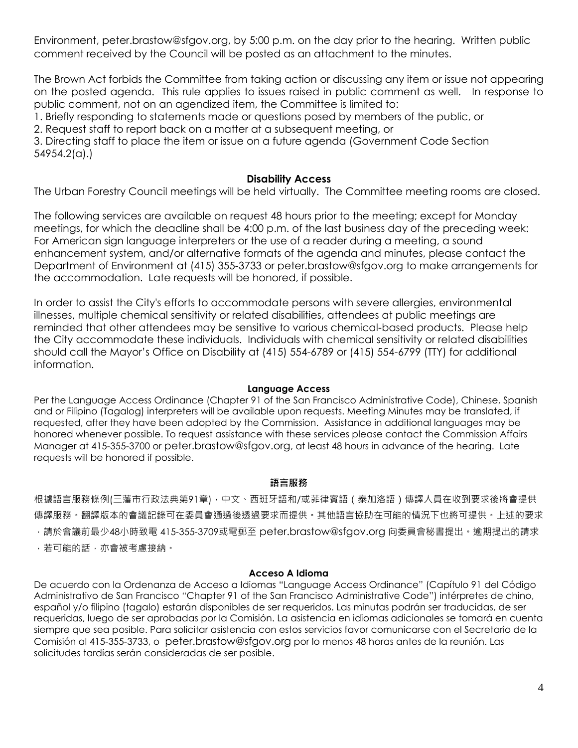Environment, peter.brastow@sfgov.org, by 5:00 p.m. on the day prior to the hearing. Written public comment received by the Council will be posted as an attachment to the minutes.

The Brown Act forbids the Committee from taking action or discussing any item or issue not appearing on the posted agenda. This rule applies to issues raised in public comment as well. In response to public comment, not on an agendized item, the Committee is limited to:

1. Briefly responding to statements made or questions posed by members of the public, or

2. Request staff to report back on a matter at a subsequent meeting, or

3. Directing staff to place the item or issue on a future agenda (Government Code Section 54954.2(a).)

### **Disability Access**

The Urban Forestry Council meetings will be held virtually. The Committee meeting rooms are closed.

The following services are available on request 48 hours prior to the meeting; except for Monday meetings, for which the deadline shall be 4:00 p.m. of the last business day of the preceding week: For American sign language interpreters or the use of a reader during a meeting, a sound enhancement system, and/or alternative formats of the agenda and minutes, please contact the Department of Environment at (415) 355-3733 or peter.brastow@sfgov.org to make arrangements for the accommodation. Late requests will be honored, if possible.

In order to assist the City's efforts to accommodate persons with severe allergies, environmental illnesses, multiple chemical sensitivity or related disabilities, attendees at public meetings are reminded that other attendees may be sensitive to various chemical-based products. Please help the City accommodate these individuals. Individuals with chemical sensitivity or related disabilities should call the Mayor's Office on Disability at (415) 554-6789 or (415) 554-6799 (TTY) for additional information.

#### **Language Access**

Per the Language Access Ordinance (Chapter 91 of the San Francisco Administrative Code), Chinese, Spanish and or Filipino (Tagalog) interpreters will be available upon requests. Meeting Minutes may be translated, if requested, after they have been adopted by the Commission. Assistance in additional languages may be honored whenever possible. To request assistance with these services please contact the Commission Affairs Manager at 415-355-3700 or peter.brastow@sfgov.org, at least 48 hours in advance of the hearing. Late requests will be honored if possible.

#### **語言服務**

根據語言服務條例(三藩市行政法典第91章),中文、西班牙語和/或菲律賓語(泰加洛語)傳譯人員在收到要求後將會提供 傳譯服務。翻譯版本的會議記錄可在委員會通過後透過要求而提供。其他語言協助在可能的情況下也將可提供。上述的要求 ,請於會議前最少48小時致電 415-355-3709或電郵至 peter.brastow@sfgov.org 向委員會秘書提出。逾期提出的請求 ,若可能的話,亦會被考慮接納。

#### **Acceso A Idioma**

De acuerdo con la Ordenanza de Acceso a Idiomas "Language Access Ordinance" (Capítulo 91 del Código Administrativo de San Francisco "Chapter 91 of the San Francisco Administrative Code") intérpretes de chino, español y/o filipino (tagalo) estarán disponibles de ser requeridos. Las minutas podrán ser traducidas, de ser requeridas, luego de ser aprobadas por la Comisión. La asistencia en idiomas adicionales se tomará en cuenta siempre que sea posible. Para solicitar asistencia con estos servicios favor comunicarse con el Secretario de la Comisión al 415-355-3733, o peter.brastow@sfgov.org por lo menos 48 horas antes de la reunión. Las solicitudes tardías serán consideradas de ser posible.